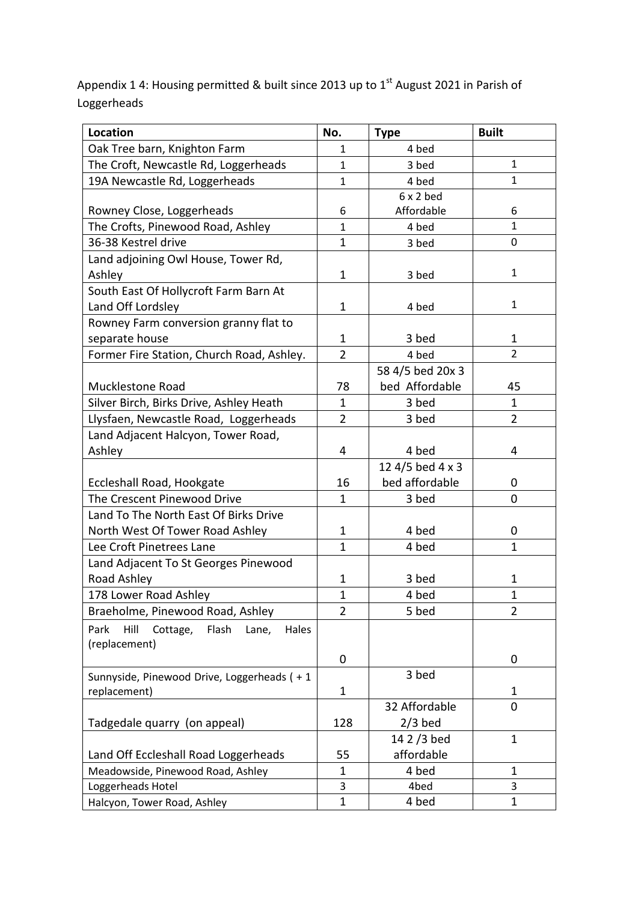Appendix 1 4: Housing permitted & built since 2013 up to  $1<sup>st</sup>$  August 2021 in Parish of Loggerheads

| <b>Location</b>                                     | No.            | <b>Type</b>      | <b>Built</b>   |
|-----------------------------------------------------|----------------|------------------|----------------|
| Oak Tree barn, Knighton Farm                        | $\mathbf{1}$   | 4 bed            |                |
| The Croft, Newcastle Rd, Loggerheads                | $\mathbf{1}$   | 3 bed            | $\mathbf{1}$   |
| 19A Newcastle Rd, Loggerheads                       | $\mathbf{1}$   | 4 bed            | $\mathbf{1}$   |
|                                                     |                | $6x2$ bed        |                |
| Rowney Close, Loggerheads                           | 6              | Affordable       | 6              |
| The Crofts, Pinewood Road, Ashley                   | $\mathbf{1}$   | 4 bed            | $\mathbf{1}$   |
| 36-38 Kestrel drive                                 | $\mathbf{1}$   | 3 bed            | 0              |
| Land adjoining Owl House, Tower Rd,                 |                |                  |                |
| Ashley                                              | $\mathbf{1}$   | 3 bed            | 1              |
| South East Of Hollycroft Farm Barn At               |                |                  |                |
| Land Off Lordsley                                   | $\mathbf{1}$   | 4 bed            | $\mathbf{1}$   |
| Rowney Farm conversion granny flat to               |                |                  |                |
| separate house                                      | $\mathbf{1}$   | 3 bed            | $\mathbf 1$    |
| Former Fire Station, Church Road, Ashley.           | $\overline{2}$ | 4 bed            | $\overline{2}$ |
|                                                     |                | 58 4/5 bed 20x 3 |                |
| <b>Mucklestone Road</b>                             | 78             | bed Affordable   | 45             |
| Silver Birch, Birks Drive, Ashley Heath             | $\mathbf{1}$   | 3 bed            | $\mathbf 1$    |
| Llysfaen, Newcastle Road, Loggerheads               | $\overline{2}$ | 3 bed            | $\overline{2}$ |
| Land Adjacent Halcyon, Tower Road,                  |                |                  |                |
| Ashley                                              | 4              | 4 bed            | 4              |
|                                                     |                | 12 4/5 bed 4 x 3 |                |
| Eccleshall Road, Hookgate                           | 16             | bed affordable   | 0              |
| The Crescent Pinewood Drive                         | $\mathbf{1}$   | 3 bed            | 0              |
| Land To The North East Of Birks Drive               |                |                  |                |
| North West Of Tower Road Ashley                     | $\mathbf{1}$   | 4 bed            | 0              |
| Lee Croft Pinetrees Lane                            | $\mathbf{1}$   | 4 bed            | 1              |
| Land Adjacent To St Georges Pinewood                |                |                  |                |
| Road Ashley                                         | $\mathbf 1$    | 3 bed            | 1              |
| 178 Lower Road Ashley                               | $\mathbf 1$    | 4 bed            | 1              |
| Braeholme, Pinewood Road, Ashley                    | 2              | 5 bed            | 2              |
| Hill<br>Flash<br>Park<br>Cottage,<br>Lane,<br>Hales |                |                  |                |
| (replacement)                                       |                |                  |                |
|                                                     | 0              |                  | 0              |
| Sunnyside, Pinewood Drive, Loggerheads (+1          |                | 3 bed            |                |
| replacement)                                        | 1              |                  | 1              |
|                                                     |                | 32 Affordable    | 0              |
| Tadgedale quarry (on appeal)                        | 128            | $2/3$ bed        |                |
|                                                     |                | 14 2 / 3 bed     | $\mathbf 1$    |
| Land Off Eccleshall Road Loggerheads                | 55             | affordable       |                |
| Meadowside, Pinewood Road, Ashley                   | $\mathbf 1$    | 4 bed            | $\mathbf{1}$   |
| Loggerheads Hotel                                   | 3              | 4bed             | 3              |
| Halcyon, Tower Road, Ashley                         | $\mathbf{1}$   | 4 bed            | 1              |